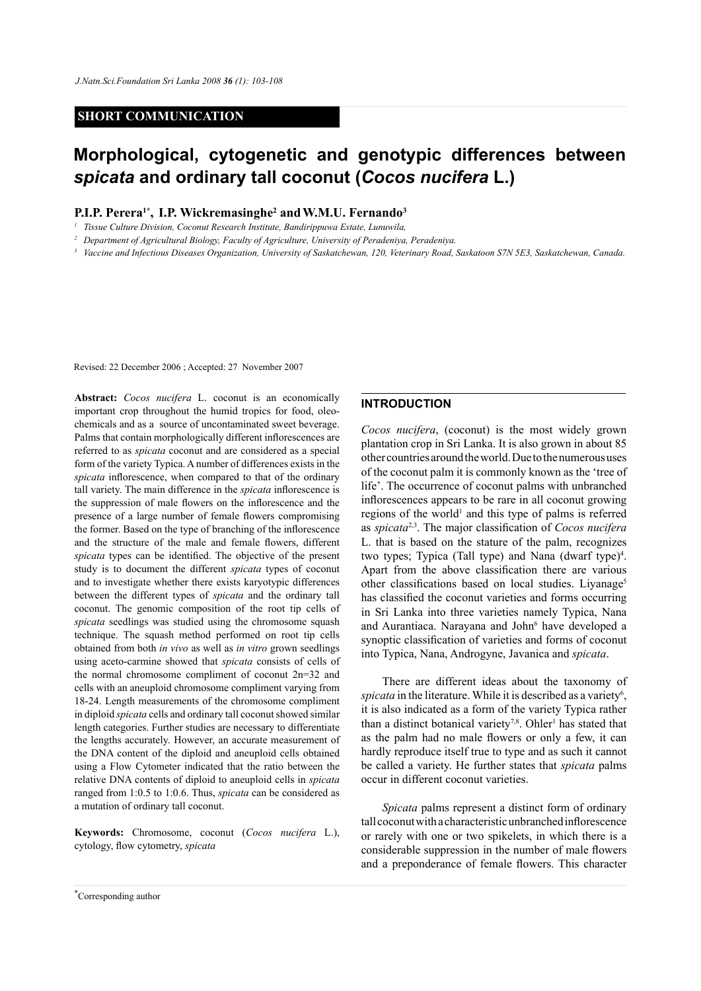#### **SHORT COMMUNICATION**

# **Morphological, cytogenetic and genotypic differences between**  *spicata* **and ordinary tall coconut (***Cocos nucifera* **L.)**

### **P.I.P. Perera1\*, I.P. Wickremasinghe2 andW.M.U. Fernando3**

*<sup>1</sup> Tissue Culture Division, Coconut Research Institute, Bandirippuwa Estate, Lunuwila,* 

*<sup>2</sup> Department of Agricultural Biology, Faculty of Agriculture, University of Peradeniya, Peradeniya.*

*<sup>3</sup> Vaccine and Infectious Diseases Organization, University of Saskatchewan, 120, Veterinary Road, Saskatoon S7N 5E3, Saskatchewan, Canada.*

Revised: 22 December 2006 ; Accepted: 27 November 2007

**Abstract:** *Cocos nucifera* L. coconut is an economically important crop throughout the humid tropics for food, oleochemicals and as a source of uncontaminated sweet beverage. Palms that contain morphologically different inflorescences are referred to as *spicata* coconut and are considered as a special form of the variety Typica. A number of differences exists in the *spicata* inflorescence, when compared to that of the ordinary tall variety. The main difference in the *spicata* inflorescence is the suppression of male flowers on the inflorescence and the presence of a large number of female flowers compromising the former. Based on the type of branching of the inflorescence and the structure of the male and female flowers, different *spicata* types can be identified. The objective of the present study is to document the different *spicata* types of coconut and to investigate whether there exists karyotypic differences between the different types of *spicata* and the ordinary tall coconut. The genomic composition of the root tip cells of *spicata* seedlings was studied using the chromosome squash technique. The squash method performed on root tip cells obtained from both *in vivo* as well as *in vitro* grown seedlings using aceto-carmine showed that *spicata* consists of cells of the normal chromosome compliment of coconut 2n=32 and cells with an aneuploid chromosome compliment varying from 18-24. Length measurements of the chromosome compliment in diploid *spicata* cells and ordinary tall coconut showed similar length categories. Further studies are necessary to differentiate the lengths accurately. However, an accurate measurement of the DNA content of the diploid and aneuploid cells obtained using a Flow Cytometer indicated that the ratio between the relative DNA contents of diploid to aneuploid cells in *spicata* ranged from 1:0.5 to 1:0.6. Thus, *spicata* can be considered as a mutation of ordinary tall coconut.

**Keywords:** Chromosome, coconut (*Cocos nucifera* L.), cytology, flow cytometry, *spicata*

### **INTRODUCTION**

*Cocos nucifera*, (coconut) is the most widely grown plantation crop in Sri Lanka. It is also grown in about 85 other countries around the world. Due to the numerous uses of the coconut palm it is commonly known as the 'tree of life'. The occurrence of coconut palms with unbranched inflorescences appears to be rare in all coconut growing regions of the world<sup>1</sup> and this type of palms is referred as *spicata*2,3. The major classification of *Cocos nucifera* L. that is based on the stature of the palm, recognizes two types; Typica (Tall type) and Nana (dwarf type)<sup>4</sup>. Apart from the above classification there are various other classifications based on local studies. Liyanage<sup>5</sup> has classified the coconut varieties and forms occurring in Sri Lanka into three varieties namely Typica, Nana and Aurantiaca. Narayana and John<sup>6</sup> have developed a synoptic classification of varieties and forms of coconut into Typica, Nana, Androgyne, Javanica and *spicata*.

There are different ideas about the taxonomy of spicata in the literature. While it is described as a variety<sup>6</sup>, it is also indicated as a form of the variety Typica rather than a distinct botanical variety<sup>7,8</sup>. Ohler<sup>1</sup> has stated that as the palm had no male flowers or only a few, it can hardly reproduce itself true to type and as such it cannot be called a variety. He further states that *spicata* palms occur in different coconut varieties.

*Spicata* palms represent a distinct form of ordinary tall coconut with a characteristic unbranched inflorescence or rarely with one or two spikelets, in which there is a considerable suppression in the number of male flowers and a preponderance of female flowers. This character

*Journal of the National Science Foundation of Sri Lanka 36 (1) March 2008* \* Corresponding author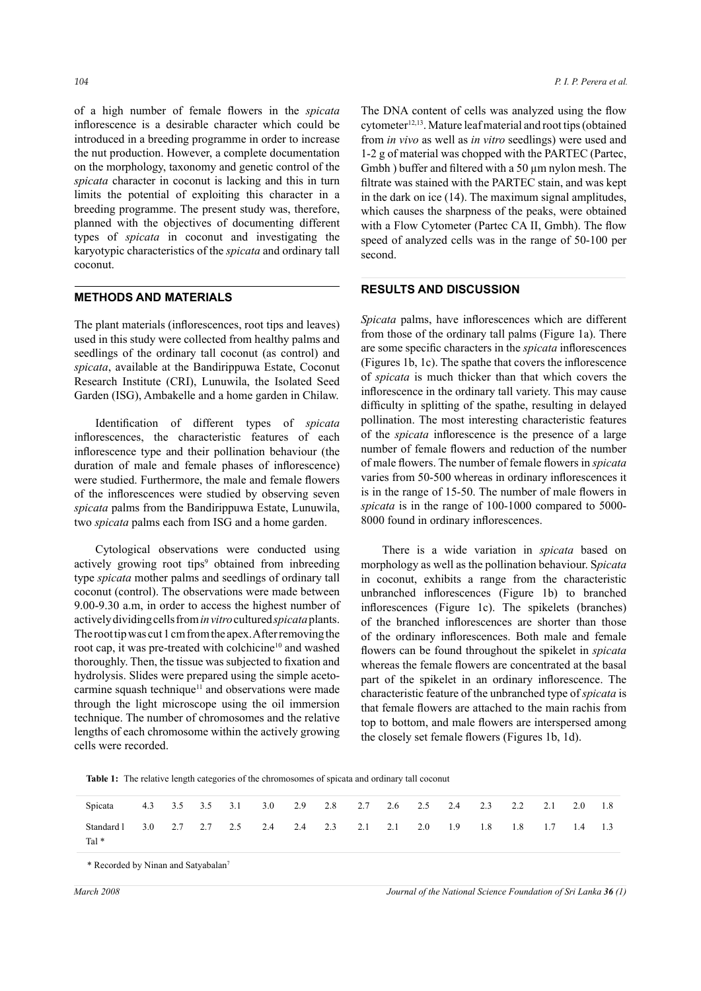of a high number of female flowers in the *spicata* inflorescence is a desirable character which could be introduced in a breeding programme in order to increase the nut production. However, a complete documentation on the morphology, taxonomy and genetic control of the *spicata* character in coconut is lacking and this in turn limits the potential of exploiting this character in a breeding programme. The present study was, therefore, planned with the objectives of documenting different types of *spicata* in coconut and investigating the karyotypic characteristics of the *spicata* and ordinary tall coconut.

## **METHODS AND MATERIALS**

The plant materials (inflorescences, root tips and leaves) used in this study were collected from healthy palms and seedlings of the ordinary tall coconut (as control) and *spicata*, available at the Bandirippuwa Estate, Coconut Research Institute (CRI), Lunuwila, the Isolated Seed Garden (ISG), Ambakelle and a home garden in Chilaw.

Identification of different types of *spicata* inflorescences, the characteristic features of each inflorescence type and their pollination behaviour (the duration of male and female phases of inflorescence) were studied. Furthermore, the male and female flowers of the inflorescences were studied by observing seven *spicata* palms from the Bandirippuwa Estate, Lunuwila, two *spicata* palms each from ISG and a home garden.

Cytological observations were conducted using actively growing root tips<sup>9</sup> obtained from inbreeding type *spicata* mother palms and seedlings of ordinary tall coconut (control). The observations were made between 9.00-9.30 a.m, in order to access the highest number of actively dividing cells from *in vitro* cultured *spicata* plants. The root tip was cut 1 cm from the apex. After removing the root cap, it was pre-treated with colchicine<sup>10</sup> and washed thoroughly. Then, the tissue was subjected to fixation and hydrolysis. Slides were prepared using the simple acetocarmine squash technique<sup>11</sup> and observations were made through the light microscope using the oil immersion technique. The number of chromosomes and the relative lengths of each chromosome within the actively growing cells were recorded.

The DNA content of cells was analyzed using the flow  $cytometer<sup>12,13</sup>$ . Mature leaf material and root tips (obtained from *in vivo* as well as *in vitro* seedlings) were used and 1-2 g of material was chopped with the PARTEC (Partec, Gmbh) buffer and filtered with a 50  $\mu$ m nylon mesh. The filtrate was stained with the PARTEC stain, and was kept in the dark on ice (14). The maximum signal amplitudes, which causes the sharpness of the peaks, were obtained with a Flow Cytometer (Partec CA II, Gmbh). The flow speed of analyzed cells was in the range of 50-100 per second.

### **RESULTS AND DISCUSSION**

*Spicata* palms, have inflorescences which are different from those of the ordinary tall palms (Figure 1a). There are some specific characters in the *spicata* inflorescences (Figures 1b, 1c). The spathe that covers the inflorescence of *spicata* is much thicker than that which covers the inflorescence in the ordinary tall variety. This may cause difficulty in splitting of the spathe, resulting in delayed pollination. The most interesting characteristic features of the *spicata* inflorescence is the presence of a large number of female flowers and reduction of the number of male flowers. The number of female flowers in *spicata* varies from 50-500 whereas in ordinary inflorescences it is in the range of 15-50. The number of male flowers in *spicata* is in the range of 100-1000 compared to 5000- 8000 found in ordinary inflorescences.

There is a wide variation in *spicata* based on morphology as well as the pollination behaviour. S*picata* in coconut, exhibits a range from the characteristic unbranched inflorescences (Figure 1b) to branched inflorescences (Figure 1c). The spikelets (branches) of the branched inflorescences are shorter than those of the ordinary inflorescences. Both male and female flowers can be found throughout the spikelet in *spicata* whereas the female flowers are concentrated at the basal part of the spikelet in an ordinary inflorescence. The characteristic feature of the unbranched type of *spicata* is that female flowers are attached to the main rachis from top to bottom, and male flowers are interspersed among the closely set female flowers (Figures 1b, 1d).

**Table 1:** The relative length categories of the chromosomes of spicata and ordinary tall coconut

| Spicata               |     |  | 4.3 3.5 3.5 3.1 3.0 2.9 2.8 2.7 2.6 2.5 2.4 2.3 2.2 2.1 2.0 |  |  |  |     |             |  |     | 1.8 |
|-----------------------|-----|--|-------------------------------------------------------------|--|--|--|-----|-------------|--|-----|-----|
| Standard 1<br>Tal $*$ | 3.0 |  | 2.7 2.7 2.5 2.4 2.4 2.3 2.1 2.1 2.0                         |  |  |  | 1.9 | 1.8 1.8 1.7 |  | 1.4 | 1.3 |

\* Recorded by Ninan and Satyabalan7

*March 2008 Journal of the National Science Foundation of Sri Lanka 36 (1)*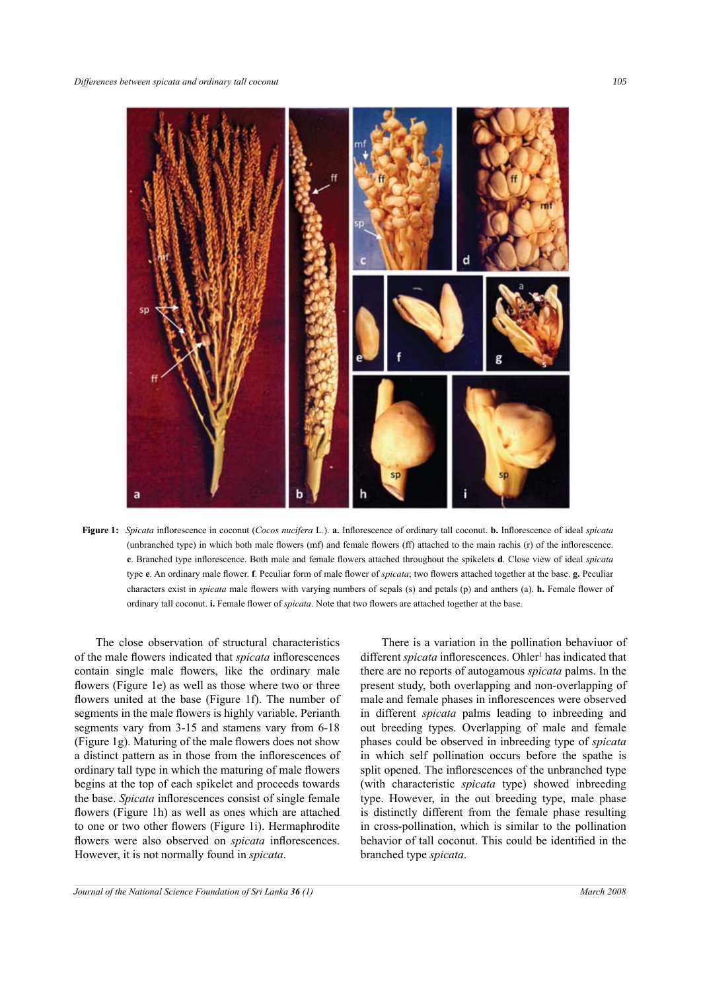

**Figure 1:** *Spicata* inflorescence in coconut (*Cocos nucifera* L.). **a.** Inflorescence of ordinary tall coconut. **b.** Inflorescence of ideal *spicata* (unbranched type) in which both male flowers (mf) and female flowers (ff) attached to the main rachis (r) of the inflorescence. **c**. Branched type inflorescence. Both male and female flowers attached throughout the spikelets **d**. Close view of ideal *spicata* type **e**. An ordinary male flower. **f**. Peculiar form of male flower of *spicata*; two flowers attached together at the base. **g.** Peculiar characters exist in *spicata* male flowers with varying numbers of sepals (s) and petals (p) and anthers (a). **h.** Female flower of ordinary tall coconut. **i.** Female flower of *spicata*. Note that two flowers are attached together at the base.

The close observation of structural characteristics of the male flowers indicated that *spicata* inflorescences contain single male flowers, like the ordinary male flowers (Figure 1e) as well as those where two or three flowers united at the base (Figure 1f). The number of segments in the male flowers is highly variable. Perianth segments vary from 3-15 and stamens vary from 6-18 (Figure 1g). Maturing of the male flowers does not show a distinct pattern as in those from the inflorescences of ordinary tall type in which the maturing of male flowers begins at the top of each spikelet and proceeds towards the base. *Spicata* inflorescences consist of single female flowers (Figure 1h) as well as ones which are attached to one or two other flowers (Figure 1i). Hermaphrodite flowers were also observed on *spicata* inflorescences. However, it is not normally found in *spicata*.

There is a variation in the pollination behaviuor of different *spicata* inflorescences. Ohler<sup>1</sup> has indicated that there are no reports of autogamous *spicata* palms. In the present study, both overlapping and non-overlapping of male and female phases in inflorescences were observed in different *spicata* palms leading to inbreeding and out breeding types. Overlapping of male and female phases could be observed in inbreeding type of *spicata* in which self pollination occurs before the spathe is split opened. The inflorescences of the unbranched type (with characteristic *spicata* type) showed inbreeding type. However, in the out breeding type, male phase is distinctly different from the female phase resulting in cross-pollination, which is similar to the pollination behavior of tall coconut. This could be identified in the branched type *spicata*.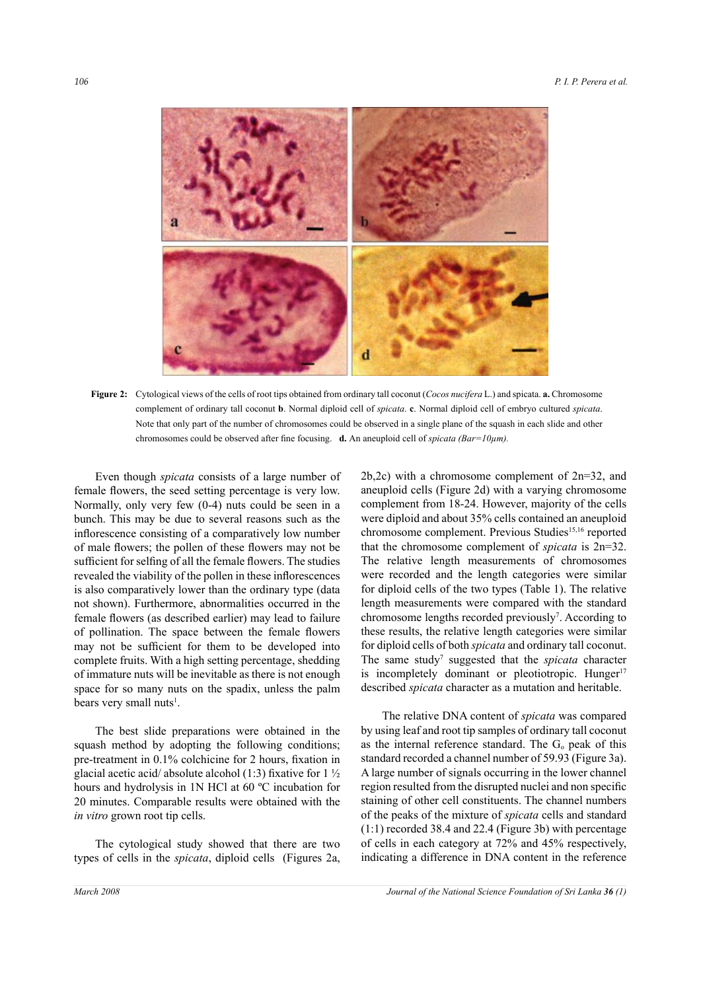

**Figure 2:** Cytological views of the cells of root tips obtained from ordinary tall coconut (*Cocos nucifera* L.) and spicata. **a.** Chromosome complement of ordinary tall coconut **b**. Normal diploid cell of *spicata*. **c**. Normal diploid cell of embryo cultured *spicata*. Note that only part of the number of chromosomes could be observed in a single plane of the squash in each slide and other chromosomes could be observed after fine focusing. **d.** An aneuploid cell of *spicata (Bar=10µm).*

Even though *spicata* consists of a large number of female flowers, the seed setting percentage is very low. Normally, only very few (0-4) nuts could be seen in a bunch. This may be due to several reasons such as the inflorescence consisting of a comparatively low number of male flowers; the pollen of these flowers may not be sufficient for selfing of all the female flowers. The studies revealed the viability of the pollen in these inflorescences is also comparatively lower than the ordinary type (data not shown). Furthermore, abnormalities occurred in the female flowers (as described earlier) may lead to failure of pollination. The space between the female flowers may not be sufficient for them to be developed into complete fruits. With a high setting percentage, shedding of immature nuts will be inevitable as there is not enough space for so many nuts on the spadix, unless the palm bears very small nuts<sup>1</sup>.

The best slide preparations were obtained in the squash method by adopting the following conditions; pre-treatment in 0.1% colchicine for 2 hours, fixation in glacial acetic acid/ absolute alcohol (1:3) fixative for  $1\frac{1}{2}$ hours and hydrolysis in 1N HCl at 60 ºC incubation for 20 minutes. Comparable results were obtained with the *in vitro* grown root tip cells.

The cytological study showed that there are two types of cells in the *spicata*, diploid cells (Figures 2a,

2b,2c) with a chromosome complement of 2n=32, and aneuploid cells (Figure 2d) with a varying chromosome complement from 18-24. However, majority of the cells were diploid and about 35% cells contained an aneuploid chromosome complement. Previous Studies<sup>15,16</sup> reported that the chromosome complement of *spicata* is 2n=32. The relative length measurements of chromosomes were recorded and the length categories were similar for diploid cells of the two types (Table 1). The relative length measurements were compared with the standard chromosome lengths recorded previously<sup>7</sup>. According to these results, the relative length categories were similar for diploid cells of both *spicata* and ordinary tall coconut. The same study<sup>7</sup> suggested that the *spicata* character is incompletely dominant or pleotiotropic. Hunger<sup>17</sup> described *spicata* character as a mutation and heritable.

The relative DNA content of *spicata* was compared by using leaf and root tip samples of ordinary tall coconut as the internal reference standard. The  $G_0$  peak of this standard recorded a channel number of 59.93 (Figure 3a). A large number of signals occurring in the lower channel region resulted from the disrupted nuclei and non specific staining of other cell constituents. The channel numbers of the peaks of the mixture of *spicata* cells and standard (1:1) recorded 38.4 and 22.4 (Figure 3b) with percentage of cells in each category at 72% and 45% respectively, indicating a difference in DNA content in the reference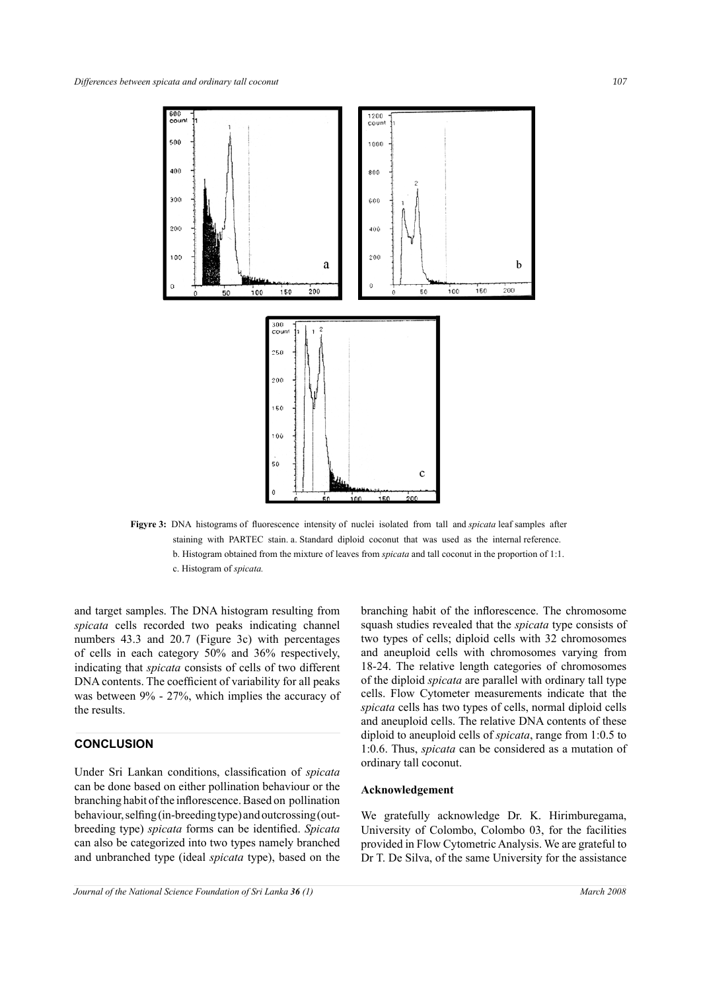

**Figyre 3:** DNA histograms of fluorescence intensity of nuclei isolated from tall and *spicata* leaf samples after staining with PARTEC stain. a. Standard diploid coconut that was used as the internal reference. b. Histogram obtained from the mixture of leaves from *spicata* and tall coconut in the proportion of 1:1. c. Histogram of *spicata.* 

and target samples. The DNA histogram resulting from *spicata* cells recorded two peaks indicating channel numbers 43.3 and 20.7 (Figure 3c) with percentages of cells in each category 50% and 36% respectively, indicating that *spicata* consists of cells of two different DNA contents. The coefficient of variability for all peaks was between 9% - 27%, which implies the accuracy of the results.

# **CONCLUSION**

Under Sri Lankan conditions, classification of *spicata* can be done based on either pollination behaviour or the branching habit of the inflorescence. Based on pollination behaviour, selfing (in-breeding type) and outcrossing (outbreeding type) *spicata* forms can be identified. *Spicata* can also be categorized into two types namely branched and unbranched type (ideal *spicata* type), based on the branching habit of the inflorescence. The chromosome squash studies revealed that the *spicata* type consists of two types of cells; diploid cells with 32 chromosomes and aneuploid cells with chromosomes varying from 18-24. The relative length categories of chromosomes of the diploid *spicata* are parallel with ordinary tall type cells. Flow Cytometer measurements indicate that the *spicata* cells has two types of cells, normal diploid cells and aneuploid cells. The relative DNA contents of these diploid to aneuploid cells of *spicata*, range from 1:0.5 to 1:0.6. Thus, *spicata* can be considered as a mutation of ordinary tall coconut.

# **Acknowledgement**

We gratefully acknowledge Dr. K. Hirimburegama, University of Colombo, Colombo 03, for the facilities provided in Flow Cytometric Analysis. We are grateful to Dr T. De Silva, of the same University for the assistance